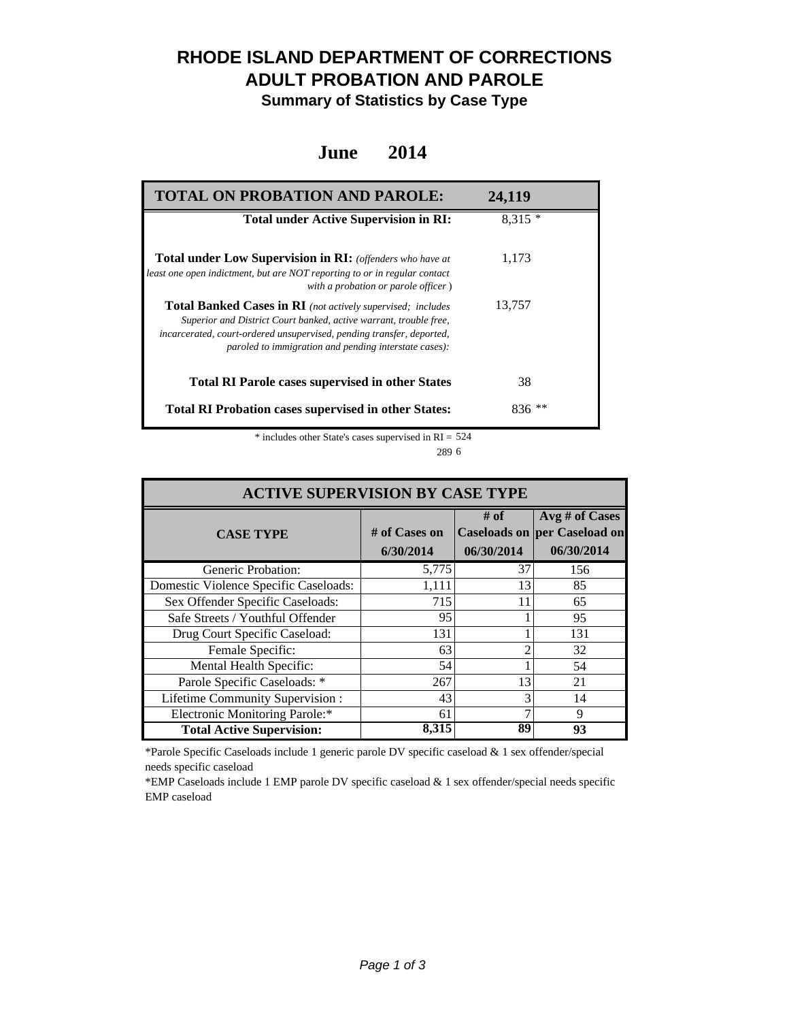## **RHODE ISLAND DEPARTMENT OF CORRECTIONS ADULT PROBATION AND PAROLE**

**Summary of Statistics by Case Type**

### **June 2014**

| <b>TOTAL ON PROBATION AND PAROLE:</b>                                                                                                                                                                                                                              | 24,119   |
|--------------------------------------------------------------------------------------------------------------------------------------------------------------------------------------------------------------------------------------------------------------------|----------|
| <b>Total under Active Supervision in RI:</b>                                                                                                                                                                                                                       | $8.315*$ |
| <b>Total under Low Supervision in RI:</b> (offenders who have at<br>least one open indictment, but are NOT reporting to or in regular contact<br>with a probation or parole officer)                                                                               | 1,173    |
| Total Banked Cases in RI (not actively supervised; includes<br>Superior and District Court banked, active warrant, trouble free,<br>incarcerated, court-ordered unsupervised, pending transfer, deported,<br>paroled to immigration and pending interstate cases): | 13,757   |
| <b>Total RI Parole cases supervised in other States</b>                                                                                                                                                                                                            | 38       |
| <b>Total RI Probation cases supervised in other States:</b>                                                                                                                                                                                                        | $836$ ** |

\* includes other State's cases supervised in RI = 524 6 289

| <b>ACTIVE SUPERVISION BY CASE TYPE</b> |                              |                    |                                                                     |  |  |
|----------------------------------------|------------------------------|--------------------|---------------------------------------------------------------------|--|--|
| <b>CASE TYPE</b>                       | $#$ of Cases on<br>6/30/2014 | # of<br>06/30/2014 | Avg # of Cases<br><b>Caseloads on per Caseload on</b><br>06/30/2014 |  |  |
| Generic Probation:                     | 5,775                        | 37                 | 156                                                                 |  |  |
| Domestic Violence Specific Caseloads:  | 1,111                        | 13                 | 85                                                                  |  |  |
| Sex Offender Specific Caseloads:       | 715                          | 11                 | 65                                                                  |  |  |
| Safe Streets / Youthful Offender       | 95                           |                    | 95                                                                  |  |  |
| Drug Court Specific Caseload:          | 131                          |                    | 131                                                                 |  |  |
| Female Specific:                       | 63                           |                    | 32                                                                  |  |  |
| Mental Health Specific:                | 54                           |                    | 54                                                                  |  |  |
| Parole Specific Caseloads: *           | 267                          | 13                 | 21                                                                  |  |  |
| Lifetime Community Supervision:        | 43                           | 3                  | 14                                                                  |  |  |
| Electronic Monitoring Parole:*         | 61                           |                    | 9                                                                   |  |  |
| <b>Total Active Supervision:</b>       | 8,315                        | 89                 | 93                                                                  |  |  |

\*Parole Specific Caseloads include 1 generic parole DV specific caseload & 1 sex offender/special needs specific caseload

\*EMP Caseloads include 1 EMP parole DV specific caseload & 1 sex offender/special needs specific EMP caseload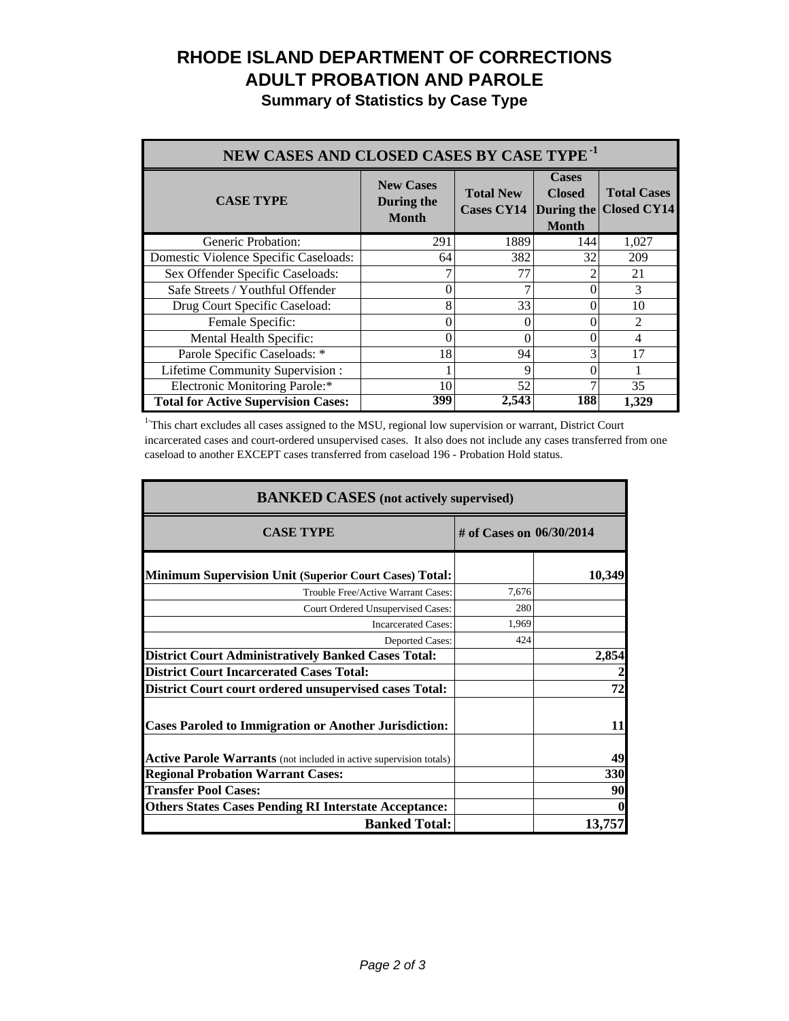# **RHODE ISLAND DEPARTMENT OF CORRECTIONS ADULT PROBATION AND PAROLE**

**Summary of Statistics by Case Type**

| NEW CASES AND CLOSED CASES BY CASE TYPE <sup>-1</sup> |                                                |                                       |                                                             |                                          |
|-------------------------------------------------------|------------------------------------------------|---------------------------------------|-------------------------------------------------------------|------------------------------------------|
| <b>CASE TYPE</b>                                      | <b>New Cases</b><br>During the<br><b>Month</b> | <b>Total New</b><br><b>Cases CY14</b> | <b>Cases</b><br><b>Closed</b><br>During the<br><b>Month</b> | <b>Total Cases</b><br><b>Closed CY14</b> |
| Generic Probation:                                    | 291                                            | 1889                                  | 144                                                         | 1,027                                    |
| Domestic Violence Specific Caseloads:                 | 64                                             | 382                                   | 32                                                          | 209                                      |
| Sex Offender Specific Caseloads:                      |                                                | 77                                    |                                                             | 21                                       |
| Safe Streets / Youthful Offender                      | 0                                              |                                       |                                                             | 3                                        |
| Drug Court Specific Caseload:                         | 8                                              | 33                                    |                                                             | 10                                       |
| Female Specific:                                      | 0                                              | 0                                     |                                                             | $\mathcal{D}_{\mathcal{A}}$              |
| Mental Health Specific:                               | 0                                              | 0                                     |                                                             | 4                                        |
| Parole Specific Caseloads: *                          | 18                                             | 94                                    |                                                             | 17                                       |
| Lifetime Community Supervision:                       |                                                | 9                                     |                                                             |                                          |
| Electronic Monitoring Parole:*                        | 10                                             | 52                                    |                                                             | 35                                       |
| <b>Total for Active Supervision Cases:</b>            | 399                                            | 2,543                                 | 188                                                         | 1.329                                    |

<sup>1</sup>This chart excludes all cases assigned to the MSU, regional low supervision or warrant, District Court incarcerated cases and court-ordered unsupervised cases. It also does not include any cases transferred from one caseload to another EXCEPT cases transferred from caseload 196 - Probation Hold status.

| <b>BANKED CASES</b> (not actively supervised)                      |                            |        |  |
|--------------------------------------------------------------------|----------------------------|--------|--|
| <b>CASE TYPE</b>                                                   | # of Cases on $06/30/2014$ |        |  |
| <b>Minimum Supervision Unit (Superior Court Cases) Total:</b>      |                            | 10,349 |  |
| Trouble Free/Active Warrant Cases:                                 | 7,676                      |        |  |
| Court Ordered Unsupervised Cases:                                  | 280                        |        |  |
| <b>Incarcerated Cases:</b>                                         | 1,969                      |        |  |
| Deported Cases:                                                    | 424                        |        |  |
| <b>District Court Administratively Banked Cases Total:</b>         |                            | 2,854  |  |
| <b>District Court Incarcerated Cases Total:</b>                    |                            |        |  |
| <b>District Court court ordered unsupervised cases Total:</b>      |                            | 72     |  |
| <b>Cases Paroled to Immigration or Another Jurisdiction:</b>       |                            | 11     |  |
| Active Parole Warrants (not included in active supervision totals) |                            | 49     |  |
| <b>Regional Probation Warrant Cases:</b>                           |                            | 330    |  |
| <b>Transfer Pool Cases:</b>                                        |                            | 90     |  |
| <b>Others States Cases Pending RI Interstate Acceptance:</b>       |                            |        |  |
| <b>Banked Total:</b>                                               |                            | 13,757 |  |